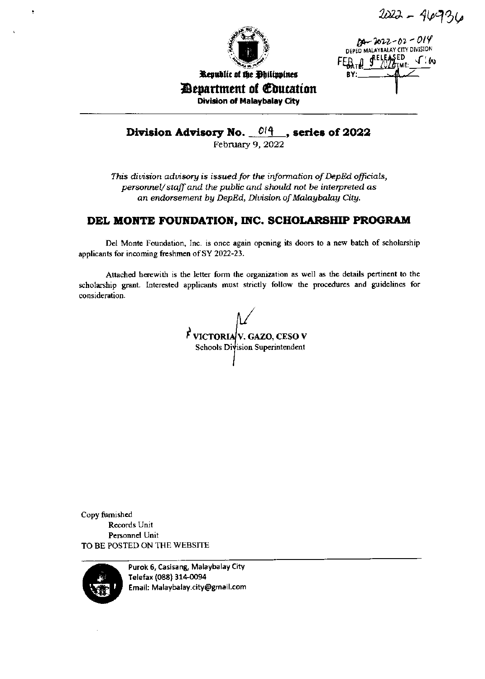2022 - 46936



 $2022 - 02 - 019$ <br>DEPED MALAYBALAY CITY DIVISION JA SELEASED

*Department of Education* Division of Malaybalay City

Division Advisory No.  $\frac{0.04}{\text{February } 9,2022}$ , series of 2022

This division advisory is issued for the information of DepEd officials, personnel/staff and the public and should not be interpreted as an endorsement by DepEd, Division of Malaybalay City.

# DEL MONTE FOUNDATION, INC. SCHOLARSHIP PROGRAM

Del Monte Foundation, Inc. is once again opening its doors to a new batch of scholarship applicants for incoming freshmen of SY 2022-23.

Attached herewith is the letter form the organization as well as the details pertinent to the scholarship grant. Interested applicants must strictly follow the procedures and guidelines for consideration.

 $\vec{F}$  VICTORIA V. GAZO, CESO V Schools Division Superintendent

Copy furnished Records Unit Personnel Unit TO BE POSTED ON THE WEBSITE



Purok 6, Casisang, Malaybalay City Telefax (088) 314-0094 Email: Malaybalay.city@gmail.com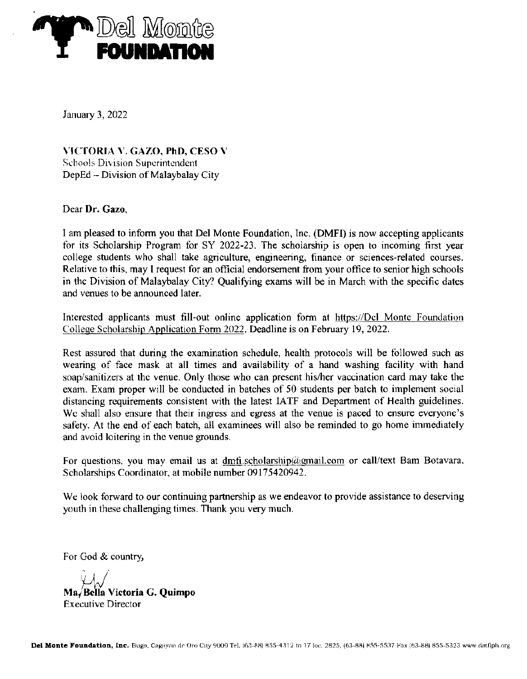

January 3, 2022

\-IC'TORIA \. CAZO, PhD, CESO \ Sehools Division Superintendent DepEd - Division of Malaybalay City

Dear Dr. Gazo,

I am pleased to inform you that Del Monte Foundation, Inc. (DMFI) is now accepting applicants for its Scholarship Program for SY 2022-23. The scholarship is open to incoming first year college students who shall take agriculture, engineering, finance or sciences-relatcd courses. Relative to this, may I request for an official endorsement from your office to senior high schools in the Division of Malaybalay City? Qualifying exams will be in March with the specific dates and venues to be announced later.

Interested applicants must fill-out online application form at https://Dcl Monte Foundation College Scholarship Application Form 2022. Deadline is on February 19, 2022.

Rcst assued that during the examination schedule, health protocols will be followed such as weanng of face mask at all times and availability of a hand washing facility with hand soap/sanitizers at thc venue. Only those who can present his/her vaccination card may take the exam. Exam proper will be conducted in batches of 50 students per batch to implement social distancing requirements consistent with the latest IATF and Department of Health guidelines. We shall also ensure that their ingress and egress at the venue is paced to ensure everyone's safety. At the end of cach batch, all examinees will also be reminded to go home immediately and avoid loitering in the venue grounds.

For questions, you may email us at dmfi.scholarship@gmail.com or call/text Bam Botavara. Scholarships Coordinator, at mobile number 09175420942.

We look forward to our continuing partnership as we endeavor to provide assistance to deserving youth in these challenging times. Thank you very much.

For God & country

 $\mathcal{A}$ Ma,/ Bella Victoria G, Quimpo Executive Director